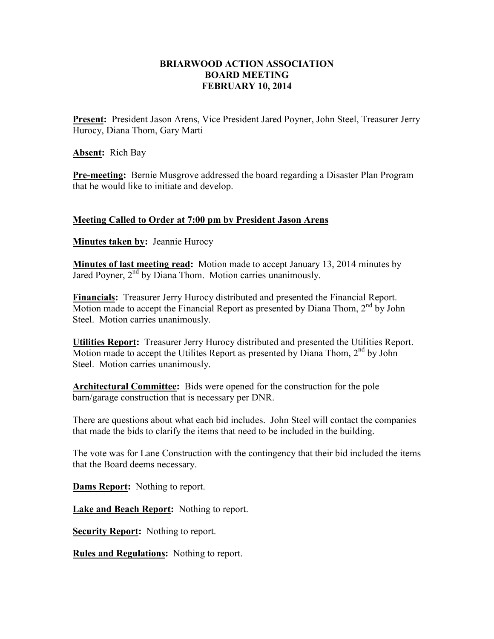## **BRIARWOOD ACTION ASSOCIATION BOARD MEETING FEBRUARY 10, 2014**

**Present:** President Jason Arens, Vice President Jared Poyner, John Steel, Treasurer Jerry Hurocy, Diana Thom, Gary Marti

**Absent:** Rich Bay

**Pre-meeting:** Bernie Musgrove addressed the board regarding a Disaster Plan Program that he would like to initiate and develop.

## **Meeting Called to Order at 7:00 pm by President Jason Arens**

**Minutes taken by:** Jeannie Hurocy

**Minutes of last meeting read:** Motion made to accept January 13, 2014 minutes by Jared Poyner,  $2<sup>nd</sup>$  by Diana Thom. Motion carries unanimously.

**Financials:** Treasurer Jerry Hurocy distributed and presented the Financial Report. Motion made to accept the Financial Report as presented by Diana Thom,  $2<sup>nd</sup>$  by John Steel. Motion carries unanimously.

**Utilities Report:** Treasurer Jerry Hurocy distributed and presented the Utilities Report. Motion made to accept the Utilites Report as presented by Diana Thom,  $2<sup>nd</sup>$  by John Steel. Motion carries unanimously.

**Architectural Committee:** Bids were opened for the construction for the pole barn/garage construction that is necessary per DNR.

There are questions about what each bid includes. John Steel will contact the companies that made the bids to clarify the items that need to be included in the building.

The vote was for Lane Construction with the contingency that their bid included the items that the Board deems necessary.

**Dams Report:** Nothing to report.

**Lake and Beach Report:** Nothing to report.

**Security Report:** Nothing to report.

**Rules and Regulations:** Nothing to report.